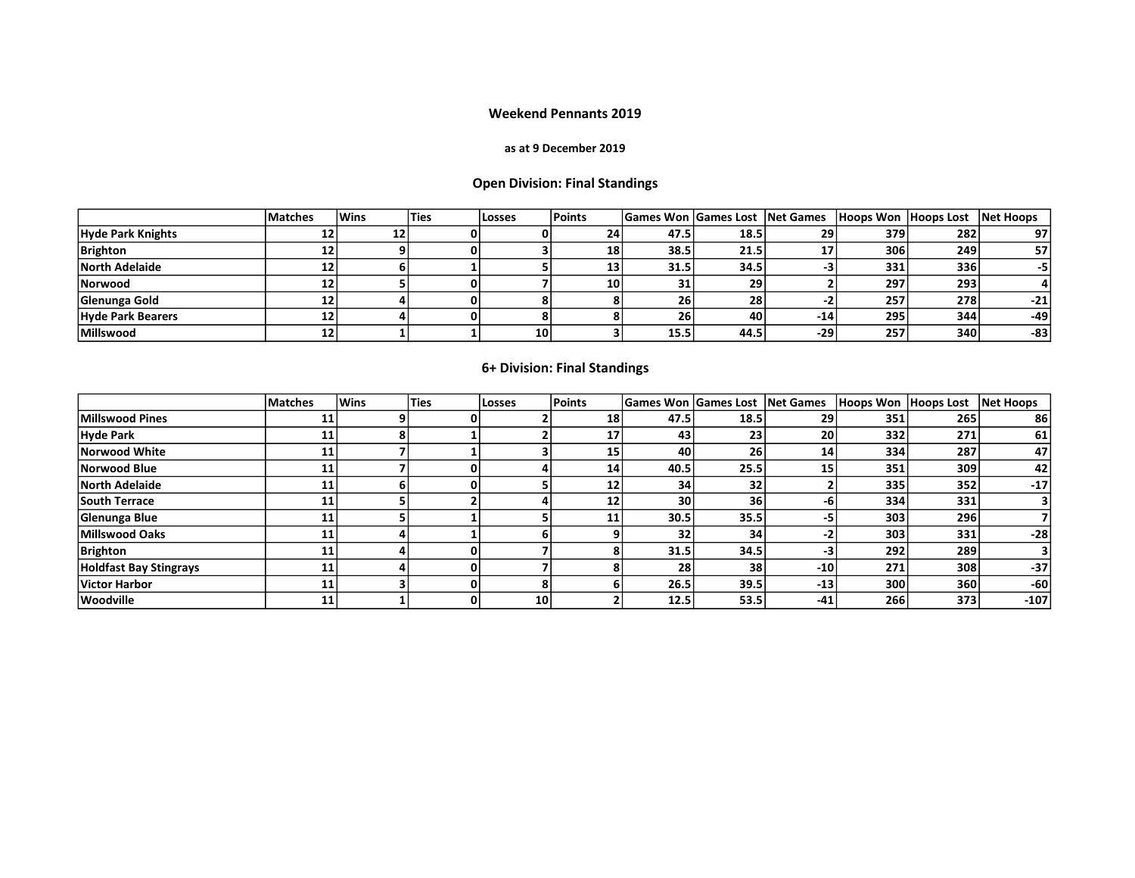### Weekend Pennants 2019

### as at 9 December 2019

# Open Division: Final Standings

|                          | <b>Matches</b> | <b>Wins</b> | 'Ties | <b>Losses</b> | Points    |           | <b>Games Won Games Lost Net Games</b> |                 | Hoops Won Hoops Lost Net Hoops |     |       |
|--------------------------|----------------|-------------|-------|---------------|-----------|-----------|---------------------------------------|-----------------|--------------------------------|-----|-------|
| <b>Hyde Park Knights</b> | 12             | 12          |       |               | 24        | 47.5      | 18.5                                  | 29 <sub>1</sub> | 379                            | 282 | 97    |
| Brighton                 | 12             |             |       |               | <b>18</b> | 38.5      | 21.5                                  | 17              | 306                            | 249 | 57    |
| North Adelaide           |                |             |       |               | 15        | 31.5      | 34.5                                  |                 | 331.                           | 336 | -5    |
| Norwood                  |                |             |       |               | <b>10</b> | - 1<br>51 | 29                                    |                 | 297                            | 293 |       |
| Glenunga Gold            |                |             |       |               |           | 26        | 28                                    |                 | 257                            | 278 | $-21$ |
| <b>Hyde Park Bearers</b> | 12             |             |       |               |           | 26        | 40                                    | $-14$           | 295                            | 344 | -49   |
| <b>Millswood</b>         | 12             |             |       | 10            |           | 15.5      | 44.5                                  | $-29'$          | 257                            | 340 | $-83$ |

# 6+ Division: Final Standings

|                               | <b>Matches</b> | <b>Wins</b> | <b>Ties</b> | Losses          | Points          | <b>Games Won Games Lost</b> |                 | Net Games       | Hoops Won Hoops Lost |     | <b>Net Hoops</b> |
|-------------------------------|----------------|-------------|-------------|-----------------|-----------------|-----------------------------|-----------------|-----------------|----------------------|-----|------------------|
| Millswood Pines               | 11             |             |             |                 | 18              | 47.5                        | 18.5            | 29              | 351                  | 265 | 86               |
| Hyde Park                     | 11             |             |             |                 | 17              | 43                          | 23              | 20 <sub>1</sub> | 332                  | 271 | 61               |
| Norwood White                 |                |             |             |                 | 15              | 40                          | 26              | 14              | 334                  | 287 | 47               |
| Norwood Blue                  | 11             |             |             |                 | 14 <sup>1</sup> | 40.5                        | 25.5            | 15              | 351                  | 309 | 42               |
| North Adelaide                | 11             |             | 0           |                 | 12 <sub>1</sub> | 34                          | 32 <sub>1</sub> |                 | 335                  | 352 | $-17$            |
| <b>South Terrace</b>          | 11             |             |             |                 | 12 <sub>1</sub> | 30                          | 36 <sup>1</sup> | -n              | 334                  | 331 |                  |
| Glenunga Blue                 |                |             |             |                 |                 | 30.5                        | 35.5            | -5              | 303                  | 296 |                  |
| Millswood Oaks                |                |             |             |                 |                 | 32                          | 34              |                 | 303                  | 331 | $-28$            |
| <b>Brighton</b>               | 11             |             |             |                 |                 | 31.5                        | 34.5            | -3              | 292                  | 289 |                  |
| <b>Holdfast Bay Stingrays</b> | 11             |             |             |                 |                 | 28                          | 38 <sub>1</sub> | $-10$           | 271                  | 308 | $-37$            |
| <b>Victor Harbor</b>          | 11             |             |             |                 |                 | 26.5                        | 39.5            | $-13$           | 300                  | 360 | $-60$            |
| Woodville                     | 11             |             |             | 10 <sup>1</sup> |                 | 12.5                        | 53.5            | $-41$           | 266                  | 373 | $-107$           |